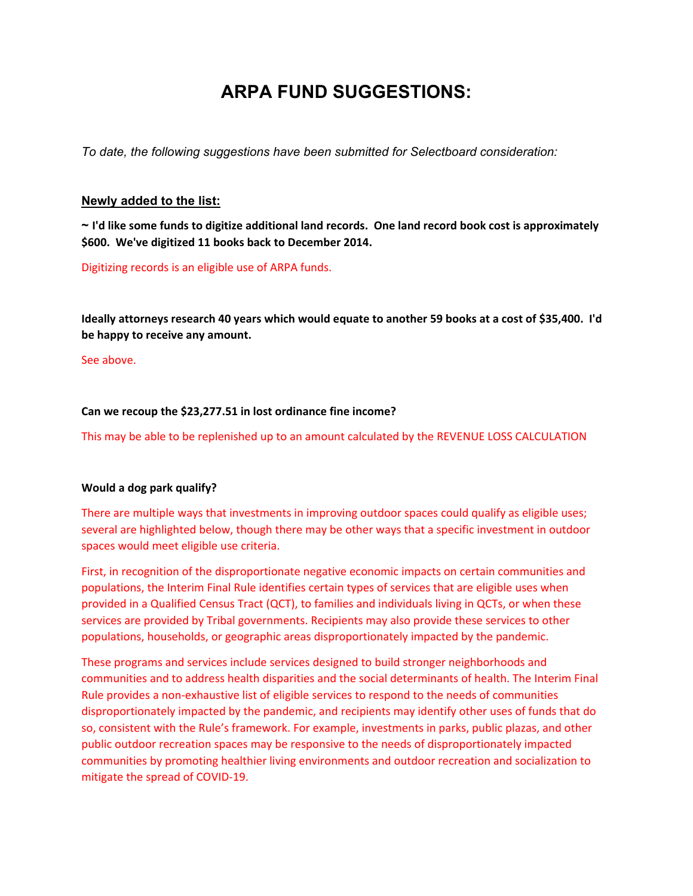# **ARPA FUND SUGGESTIONS:**

*To date, the following suggestions have been submitted for Selectboard consideration:*

## **Newly added to the list:**

 $\sim$  I'd like some funds to digitize additional land records. One land record book cost is approximately **\$600. We've digitized 11 books back to December 2014.**

Digitizing records is an eligible use of ARPA funds.

Ideally attorneys research 40 years which would equate to another 59 books at a cost of \$35,400. I'd **be happy to receive any amount.** 

See above.

## **Can we recoup the \$23,277.51 in lost ordinance fine income?**

This may be able to be replenished up to an amount calculated by the REVENUE LOSS CALCULATION

### **Would a dog park qualify?**

There are multiple ways that investments in improving outdoor spaces could qualify as eligible uses; several are highlighted below, though there may be other ways that a specific investment in outdoor spaces would meet eligible use criteria.

First, in recognition of the disproportionate negative economic impacts on certain communities and populations, the Interim Final Rule identifies certain types of services that are eligible uses when provided in a Qualified Census Tract (QCT), to families and individuals living in QCTs, or when these services are provided by Tribal governments. Recipients may also provide these services to other populations, households, or geographic areas disproportionately impacted by the pandemic.

These programs and services include services designed to build stronger neighborhoods and communities and to address health disparities and the social determinants of health. The Interim Final Rule provides a non‐exhaustive list of eligible services to respond to the needs of communities disproportionately impacted by the pandemic, and recipients may identify other uses of funds that do so, consistent with the Rule's framework. For example, investments in parks, public plazas, and other public outdoor recreation spaces may be responsive to the needs of disproportionately impacted communities by promoting healthier living environments and outdoor recreation and socialization to mitigate the spread of COVID‐19.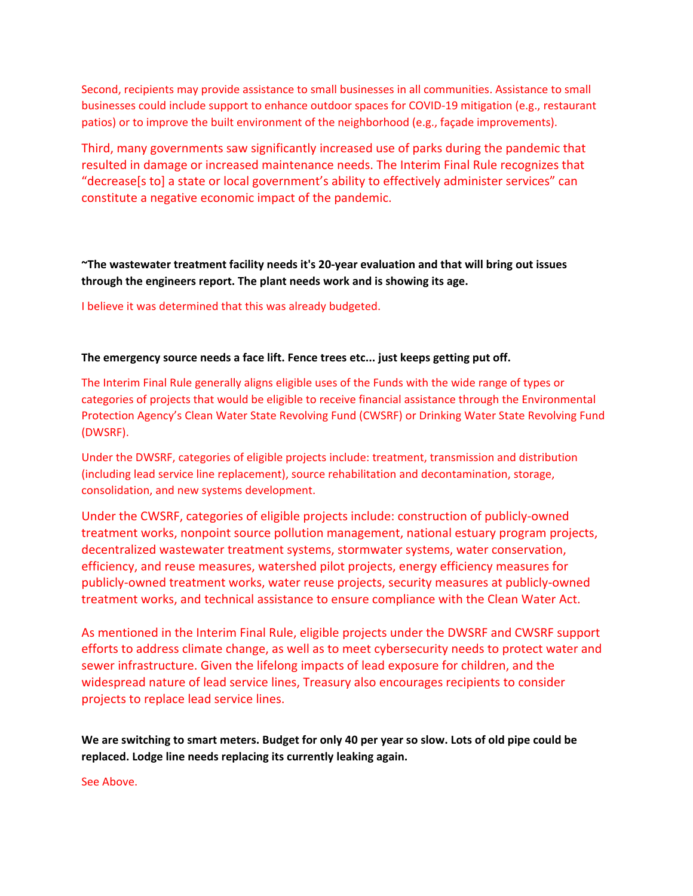Second, recipients may provide assistance to small businesses in all communities. Assistance to small businesses could include support to enhance outdoor spaces for COVID‐19 mitigation (e.g., restaurant patios) or to improve the built environment of the neighborhood (e.g., façade improvements).

Third, many governments saw significantly increased use of parks during the pandemic that resulted in damage or increased maintenance needs. The Interim Final Rule recognizes that "decrease[s to] a state or local government's ability to effectively administer services" can constitute a negative economic impact of the pandemic.

**~The wastewater treatment facility needs it's 20‐year evaluation and that will bring out issues through the engineers report. The plant needs work and is showing its age.** 

I believe it was determined that this was already budgeted.

#### **The emergency source needs a face lift. Fence trees etc... just keeps getting put off.**

The Interim Final Rule generally aligns eligible uses of the Funds with the wide range of types or categories of projects that would be eligible to receive financial assistance through the Environmental Protection Agency's Clean Water State Revolving Fund (CWSRF) or Drinking Water State Revolving Fund (DWSRF).

Under the DWSRF, categories of eligible projects include: treatment, transmission and distribution (including lead service line replacement), source rehabilitation and decontamination, storage, consolidation, and new systems development.

Under the CWSRF, categories of eligible projects include: construction of publicly‐owned treatment works, nonpoint source pollution management, national estuary program projects, decentralized wastewater treatment systems, stormwater systems, water conservation, efficiency, and reuse measures, watershed pilot projects, energy efficiency measures for publicly‐owned treatment works, water reuse projects, security measures at publicly‐owned treatment works, and technical assistance to ensure compliance with the Clean Water Act.

As mentioned in the Interim Final Rule, eligible projects under the DWSRF and CWSRF support efforts to address climate change, as well as to meet cybersecurity needs to protect water and sewer infrastructure. Given the lifelong impacts of lead exposure for children, and the widespread nature of lead service lines, Treasury also encourages recipients to consider projects to replace lead service lines.

We are switching to smart meters. Budget for only 40 per year so slow. Lots of old pipe could be **replaced. Lodge line needs replacing its currently leaking again.**

See Above.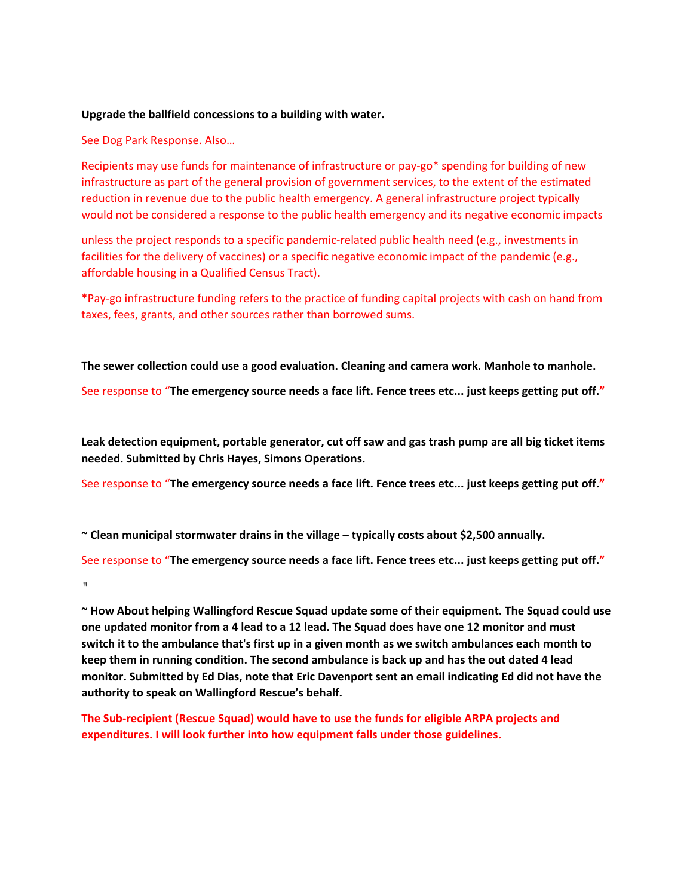### **Upgrade the ballfield concessions to a building with water.**

#### See Dog Park Response. Also…

Recipients may use funds for maintenance of infrastructure or pay-go\* spending for building of new infrastructure as part of the general provision of government services, to the extent of the estimated reduction in revenue due to the public health emergency. A general infrastructure project typically would not be considered a response to the public health emergency and its negative economic impacts

unless the project responds to a specific pandemic-related public health need (e.g., investments in facilities for the delivery of vaccines) or a specific negative economic impact of the pandemic (e.g., affordable housing in a Qualified Census Tract).

\*Pay‐go infrastructure funding refers to the practice of funding capital projects with cash on hand from taxes, fees, grants, and other sources rather than borrowed sums.

**The sewer collection could use a good evaluation. Cleaning and camera work. Manhole to manhole.**

See response to "**The emergency source needs a face lift. Fence trees etc... just keeps getting put off."**

**Leak detection equipment, portable generator, cut off saw and gas trash pump are all big ticket items needed. Submitted by Chris Hayes, Simons Operations.** 

See response to "**The emergency source needs a face lift. Fence trees etc... just keeps getting put off."**

**~ Clean municipal stormwater drains in the village – typically costs about \$2,500 annually.**

See response to "**The emergency source needs a face lift. Fence trees etc... just keeps getting put off."**

 $\bar{\rm H}$ 

**~ How About helping Wallingford Rescue Squad update some of their equipment. The Squad could use** one updated monitor from a 4 lead to a 12 lead. The Squad does have one 12 monitor and must switch it to the ambulance that's first up in a given month as we switch ambulances each month to **keep them in running condition. The second ambulance is back up and has the out dated 4 lead** monitor. Submitted by Ed Dias, note that Eric Davenport sent an email indicating Ed did not have the **authority to speak on Wallingford Rescue's behalf.** 

**The Sub‐recipient (Rescue Squad) would have to use the funds for eligible ARPA projects and expenditures. I will look further into how equipment falls under those guidelines.**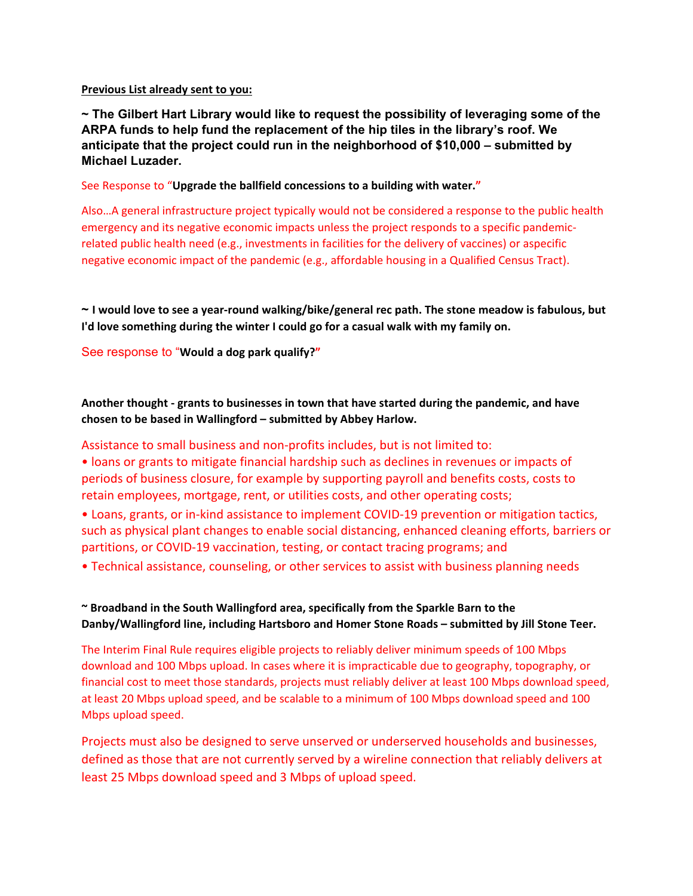**Previous List already sent to you:**

**~ The Gilbert Hart Library would like to request the possibility of leveraging some of the ARPA funds to help fund the replacement of the hip tiles in the library's roof. We anticipate that the project could run in the neighborhood of \$10,000 – submitted by Michael Luzader.** 

See Response to "**Upgrade the ballfield concessions to a building with water."**

Also…A general infrastructure project typically would not be considered a response to the public health emergency and its negative economic impacts unless the project responds to a specific pandemicrelated public health need (e.g., investments in facilities for the delivery of vaccines) or aspecific negative economic impact of the pandemic (e.g., affordable housing in a Qualified Census Tract).

 $\sim$  I would love to see a year-round walking/bike/general rec path. The stone meadow is fabulous, but **I'd love something during the winter I could go for a casual walk with my family on.**

See response to "**Would a dog park qualify?"**

**Another thought ‐ grants to businesses in town that have started during the pandemic, and have chosen to be based in Wallingford – submitted by Abbey Harlow.** 

## Assistance to small business and non‐profits includes, but is not limited to:

• loans or grants to mitigate financial hardship such as declines in revenues or impacts of periods of business closure, for example by supporting payroll and benefits costs, costs to retain employees, mortgage, rent, or utilities costs, and other operating costs;

• Loans, grants, or in‐kind assistance to implement COVID‐19 prevention or mitigation tactics, such as physical plant changes to enable social distancing, enhanced cleaning efforts, barriers or partitions, or COVID‐19 vaccination, testing, or contact tracing programs; and

• Technical assistance, counseling, or other services to assist with business planning needs

## **~ Broadband in the South Wallingford area, specifically from the Sparkle Barn to the Danby/Wallingford line, including Hartsboro and Homer Stone Roads – submitted by Jill Stone Teer.**

The Interim Final Rule requires eligible projects to reliably deliver minimum speeds of 100 Mbps download and 100 Mbps upload. In cases where it is impracticable due to geography, topography, or financial cost to meet those standards, projects must reliably deliver at least 100 Mbps download speed, at least 20 Mbps upload speed, and be scalable to a minimum of 100 Mbps download speed and 100 Mbps upload speed.

Projects must also be designed to serve unserved or underserved households and businesses, defined as those that are not currently served by a wireline connection that reliably delivers at least 25 Mbps download speed and 3 Mbps of upload speed.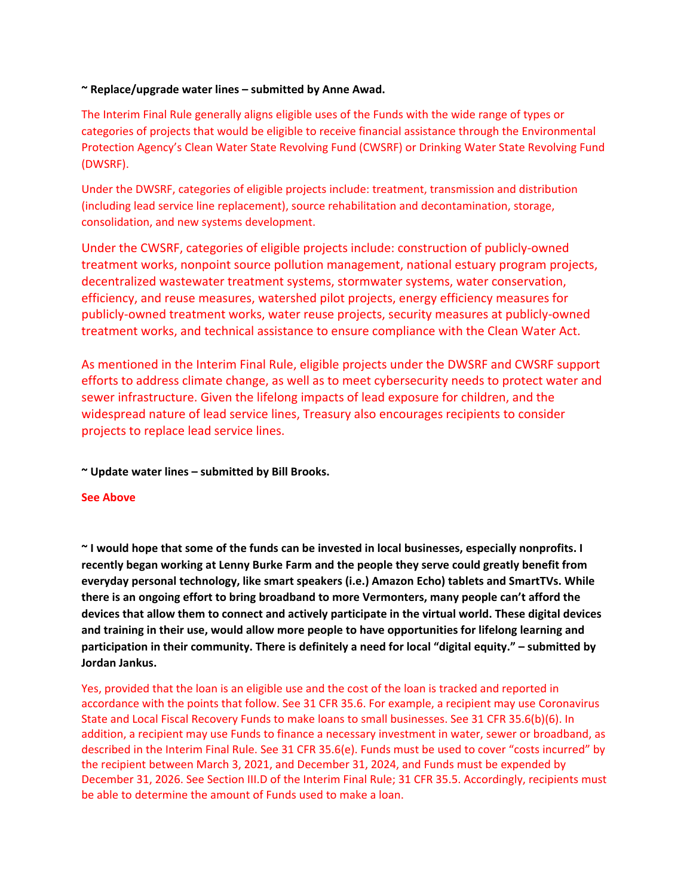## **~ Replace/upgrade water lines – submitted by Anne Awad.**

The Interim Final Rule generally aligns eligible uses of the Funds with the wide range of types or categories of projects that would be eligible to receive financial assistance through the Environmental Protection Agency's Clean Water State Revolving Fund (CWSRF) or Drinking Water State Revolving Fund (DWSRF).

Under the DWSRF, categories of eligible projects include: treatment, transmission and distribution (including lead service line replacement), source rehabilitation and decontamination, storage, consolidation, and new systems development.

Under the CWSRF, categories of eligible projects include: construction of publicly‐owned treatment works, nonpoint source pollution management, national estuary program projects, decentralized wastewater treatment systems, stormwater systems, water conservation, efficiency, and reuse measures, watershed pilot projects, energy efficiency measures for publicly‐owned treatment works, water reuse projects, security measures at publicly‐owned treatment works, and technical assistance to ensure compliance with the Clean Water Act.

As mentioned in the Interim Final Rule, eligible projects under the DWSRF and CWSRF support efforts to address climate change, as well as to meet cybersecurity needs to protect water and sewer infrastructure. Given the lifelong impacts of lead exposure for children, and the widespread nature of lead service lines, Treasury also encourages recipients to consider projects to replace lead service lines.

**~ Update water lines – submitted by Bill Brooks.**

### **See Above**

~ I would hope that some of the funds can be invested in local businesses, especially nonprofits. I **recently began working at Lenny Burke Farm and the people they serve could greatly benefit from everyday personal technology, like smart speakers (i.e.) Amazon Echo) tablets and SmartTVs. While there is an ongoing effort to bring broadband to more Vermonters, many people can't afford the devices that allow them to connect and actively participate in the virtual world. These digital devices and training in their use, would allow more people to have opportunities for lifelong learning and participation in their community. There is definitely a need for local "digital equity." – submitted by Jordan Jankus.**

Yes, provided that the loan is an eligible use and the cost of the loan is tracked and reported in accordance with the points that follow. See 31 CFR 35.6. For example, a recipient may use Coronavirus State and Local Fiscal Recovery Funds to make loans to small businesses. See 31 CFR 35.6(b)(6). In addition, a recipient may use Funds to finance a necessary investment in water, sewer or broadband, as described in the Interim Final Rule. See 31 CFR 35.6(e). Funds must be used to cover "costs incurred" by the recipient between March 3, 2021, and December 31, 2024, and Funds must be expended by December 31, 2026. See Section III.D of the Interim Final Rule; 31 CFR 35.5. Accordingly, recipients must be able to determine the amount of Funds used to make a loan.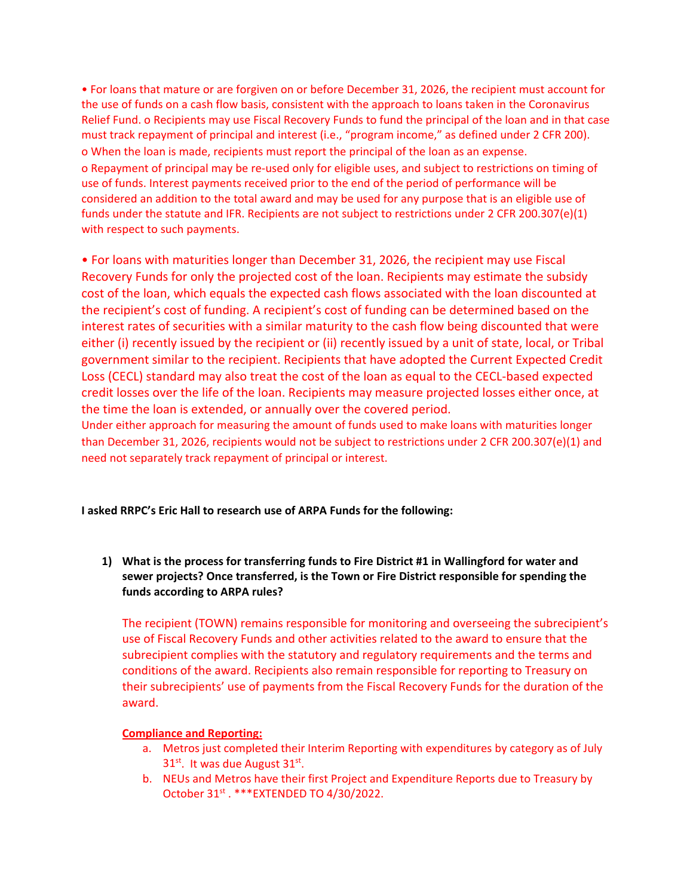• For loans that mature or are forgiven on or before December 31, 2026, the recipient must account for the use of funds on a cash flow basis, consistent with the approach to loans taken in the Coronavirus Relief Fund. o Recipients may use Fiscal Recovery Funds to fund the principal of the loan and in that case must track repayment of principal and interest (i.e., "program income," as defined under 2 CFR 200). o When the loan is made, recipients must report the principal of the loan as an expense. o Repayment of principal may be re‐used only for eligible uses, and subject to restrictions on timing of use of funds. Interest payments received prior to the end of the period of performance will be considered an addition to the total award and may be used for any purpose that is an eligible use of funds under the statute and IFR. Recipients are not subject to restrictions under 2 CFR 200.307(e)(1) with respect to such payments.

• For loans with maturities longer than December 31, 2026, the recipient may use Fiscal Recovery Funds for only the projected cost of the loan. Recipients may estimate the subsidy cost of the loan, which equals the expected cash flows associated with the loan discounted at the recipient's cost of funding. A recipient's cost of funding can be determined based on the interest rates of securities with a similar maturity to the cash flow being discounted that were either (i) recently issued by the recipient or (ii) recently issued by a unit of state, local, or Tribal government similar to the recipient. Recipients that have adopted the Current Expected Credit Loss (CECL) standard may also treat the cost of the loan as equal to the CECL‐based expected credit losses over the life of the loan. Recipients may measure projected losses either once, at the time the loan is extended, or annually over the covered period.

Under either approach for measuring the amount of funds used to make loans with maturities longer than December 31, 2026, recipients would not be subject to restrictions under 2 CFR 200.307(e)(1) and need not separately track repayment of principal or interest.

**I asked RRPC's Eric Hall to research use of ARPA Funds for the following:**

**1) What is the process for transferring funds to Fire District #1 in Wallingford for water and sewer projects? Once transferred, is the Town or Fire District responsible for spending the funds according to ARPA rules?**

The recipient (TOWN) remains responsible for monitoring and overseeing the subrecipient's use of Fiscal Recovery Funds and other activities related to the award to ensure that the subrecipient complies with the statutory and regulatory requirements and the terms and conditions of the award. Recipients also remain responsible for reporting to Treasury on their subrecipients' use of payments from the Fiscal Recovery Funds for the duration of the award.

### **Compliance and Reporting:**

- a. Metros just completed their Interim Reporting with expenditures by category as of July  $31<sup>st</sup>$ . It was due August  $31<sup>st</sup>$ .
- b. NEUs and Metros have their first Project and Expenditure Reports due to Treasury by October 31<sup>st</sup> . \*\*\* EXTENDED TO 4/30/2022.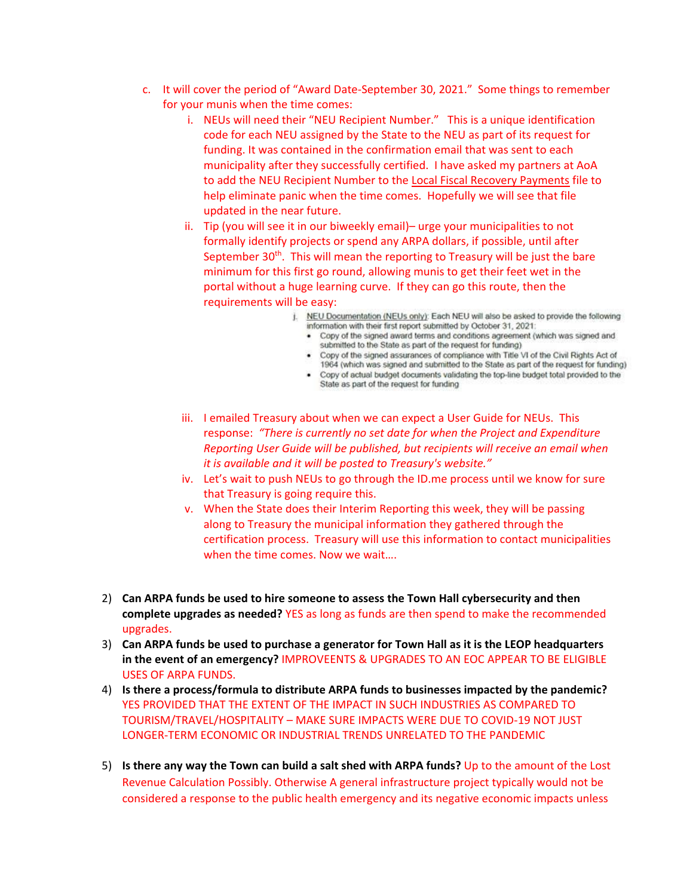- c. It will cover the period of "Award Date‐September 30, 2021." Some things to remember for your munis when the time comes:
	- i. NEUs will need their "NEU Recipient Number." This is a unique identification code for each NEU assigned by the State to the NEU as part of its request for funding. It was contained in the confirmation email that was sent to each municipality after they successfully certified. I have asked my partners at AoA to add the NEU Recipient Number to the Local Fiscal Recovery Payments file to help eliminate panic when the time comes. Hopefully we will see that file updated in the near future.
	- ii. Tip (you will see it in our biweekly email)– urge your municipalities to not formally identify projects or spend any ARPA dollars, if possible, until after September  $30<sup>th</sup>$ . This will mean the reporting to Treasury will be just the bare minimum for this first go round, allowing munis to get their feet wet in the portal without a huge learning curve. If they can go this route, then the requirements will be easy:
		- j. NEU Documentation (NEUs only): Each NEU will also be asked to provide the following information with their first report submitted by October 31, 2021;
			- . Copy of the signed award terms and conditions agreement (which was signed and submitted to the State as part of the request for funding)
			- . Copy of the signed assurances of compliance with Title VI of the Civil Rights Act of 1964 (which was signed and submitted to the State as part of the request for funding)
			- . Copy of actual budget documents validating the top-line budget total provided to the State as part of the request for funding
	- iii. I emailed Treasury about when we can expect a User Guide for NEUs. This response: *"There is currently no set date for when the Project and Expenditure Reporting User Guide will be published, but recipients will receive an email when it is available and it will be posted to Treasury's website."*
	- iv. Let's wait to push NEUs to go through the ID.me process until we know for sure that Treasury is going require this.
	- v. When the State does their Interim Reporting this week, they will be passing along to Treasury the municipal information they gathered through the certification process. Treasury will use this information to contact municipalities when the time comes. Now we wait….
- 2) **Can ARPA funds be used to hire someone to assess the Town Hall cybersecurity and then complete upgrades as needed?** YES as long as funds are then spend to make the recommended upgrades.
- 3) **Can ARPA funds be used to purchase a generator for Town Hall as it is the LEOP headquarters in the event of an emergency?** IMPROVEENTS & UPGRADES TO AN EOC APPEAR TO BE ELIGIBLE USES OF ARPA FUNDS.
- 4) **Is there a process/formula to distribute ARPA funds to businesses impacted by the pandemic?** YES PROVIDED THAT THE EXTENT OF THE IMPACT IN SUCH INDUSTRIES AS COMPARED TO TOURISM/TRAVEL/HOSPITALITY – MAKE SURE IMPACTS WERE DUE TO COVID‐19 NOT JUST LONGER‐TERM ECONOMIC OR INDUSTRIAL TRENDS UNRELATED TO THE PANDEMIC
- 5) **Is there any way the Town can build a salt shed with ARPA funds?** Up to the amount of the Lost Revenue Calculation Possibly. Otherwise A general infrastructure project typically would not be considered a response to the public health emergency and its negative economic impacts unless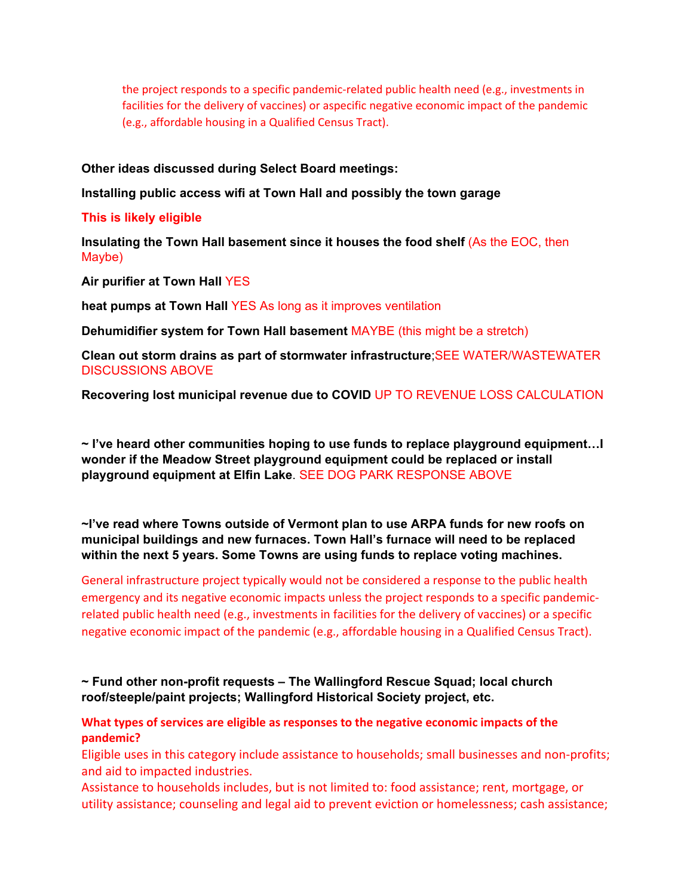the project responds to a specific pandemic-related public health need (e.g., investments in facilities for the delivery of vaccines) or aspecific negative economic impact of the pandemic (e.g., affordable housing in a Qualified Census Tract).

**Other ideas discussed during Select Board meetings:** 

**Installing public access wifi at Town Hall and possibly the town garage** 

**This is likely eligible** 

**Insulating the Town Hall basement since it houses the food shelf** (As the EOC, then Maybe)

**Air purifier at Town Hall** YES

**heat pumps at Town Hall** YES As long as it improves ventilation

**Dehumidifier system for Town Hall basement** MAYBE (this might be a stretch)

**Clean out storm drains as part of stormwater infrastructure**;SEE WATER/WASTEWATER DISCUSSIONS ABOVE

**Recovering lost municipal revenue due to COVID** UP TO REVENUE LOSS CALCULATION

**~ I've heard other communities hoping to use funds to replace playground equipment…I wonder if the Meadow Street playground equipment could be replaced or install playground equipment at Elfin Lake**. SEE DOG PARK RESPONSE ABOVE

**~I've read where Towns outside of Vermont plan to use ARPA funds for new roofs on municipal buildings and new furnaces. Town Hall's furnace will need to be replaced within the next 5 years. Some Towns are using funds to replace voting machines.** 

General infrastructure project typically would not be considered a response to the public health emergency and its negative economic impacts unless the project responds to a specific pandemicrelated public health need (e.g., investments in facilities for the delivery of vaccines) or a specific negative economic impact of the pandemic (e.g., affordable housing in a Qualified Census Tract).

**~ Fund other non-profit requests – The Wallingford Rescue Squad; local church roof/steeple/paint projects; Wallingford Historical Society project, etc.** 

**What types of services are eligible as responses to the negative economic impacts of the pandemic?**

Eligible uses in this category include assistance to households; small businesses and non‐profits; and aid to impacted industries.

Assistance to households includes, but is not limited to: food assistance; rent, mortgage, or utility assistance; counseling and legal aid to prevent eviction or homelessness; cash assistance;